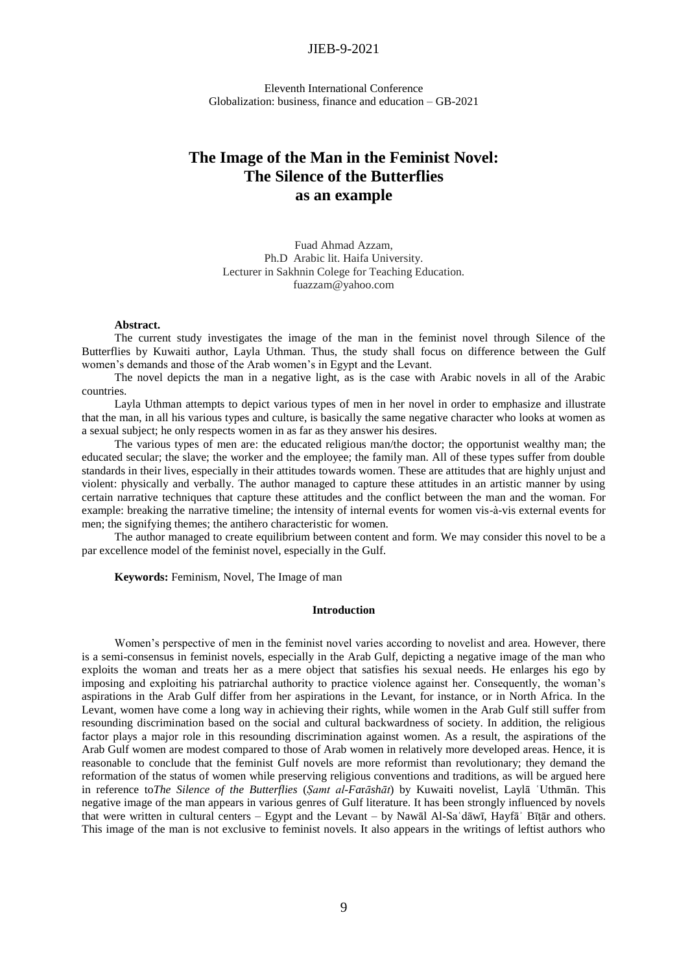# JIEB-9-2021

Еleventh International Conference Globalization: business, finance and education – GB-2021

# **The Image of the Man in the Feminist Novel: The Silence of the Butterflies as an example**

Fuad Ahmad Azzam, Ph.D Arabic lit. Haifa University. Lecturer in Sakhnin Colege for Teaching Education. fuazzam@yahoo.com

### **Abstract.**

The current study investigates the image of the man in the feminist novel through Silence of the Butterflies by Kuwaiti author, Layla Uthman. Thus, the study shall focus on difference between the Gulf women's demands and those of the Arab women's in Egypt and the Levant.

The novel depicts the man in a negative light, as is the case with Arabic novels in all of the Arabic countries.

Layla Uthman attempts to depict various types of men in her novel in order to emphasize and illustrate that the man, in all his various types and culture, is basically the same negative character who looks at women as a sexual subject; he only respects women in as far as they answer his desires.

The various types of men are: the educated religious man/the doctor; the opportunist wealthy man; the educated secular; the slave; the worker and the employee; the family man. All of these types suffer from double standards in their lives, especially in their attitudes towards women. These are attitudes that are highly unjust and violent: physically and verbally. The author managed to capture these attitudes in an artistic manner by using certain narrative techniques that capture these attitudes and the conflict between the man and the woman. For example: breaking the narrative timeline; the intensity of internal events for women vis-à-vis external events for men; the signifying themes; the antihero characteristic for women.

The author managed to create equilibrium between content and form. We may consider this novel to be a par excellence model of the feminist novel, especially in the Gulf.

**Keywords:** Feminism, Novel, The Image of man

#### **Introduction**

Women's perspective of men in the feminist novel varies according to novelist and area. However, there is a semi-consensus in feminist novels, especially in the Arab Gulf, depicting a negative image of the man who exploits the woman and treats her as a mere object that satisfies his sexual needs. He enlarges his ego by imposing and exploiting his patriarchal authority to practice violence against her. Consequently, the woman's aspirations in the Arab Gulf differ from her aspirations in the Levant, for instance, or in North Africa. In the Levant, women have come a long way in achieving their rights, while women in the Arab Gulf still suffer from resounding discrimination based on the social and cultural backwardness of society. In addition, the religious factor plays a major role in this resounding discrimination against women. As a result, the aspirations of the Arab Gulf women are modest compared to those of Arab women in relatively more developed areas. Hence, it is reasonable to conclude that the feminist Gulf novels are more reformist than revolutionary; they demand the reformation of the status of women while preserving religious conventions and traditions, as will be argued here in reference to*The Silence of the Butterflies* (*Ṣamt al-Fa*r*āshāt*) by Kuwaiti novelist, Laylā ʿUthmān. This negative image of the man appears in various genres of Gulf literature. It has been strongly influenced by novels that were written in cultural centers – Egypt and the Levant – by Nawāl Al-Saʿdāwī, Hayfāʾ Bīṭār and others. This image of the man is not exclusive to feminist novels. It also appears in the writings of leftist authors who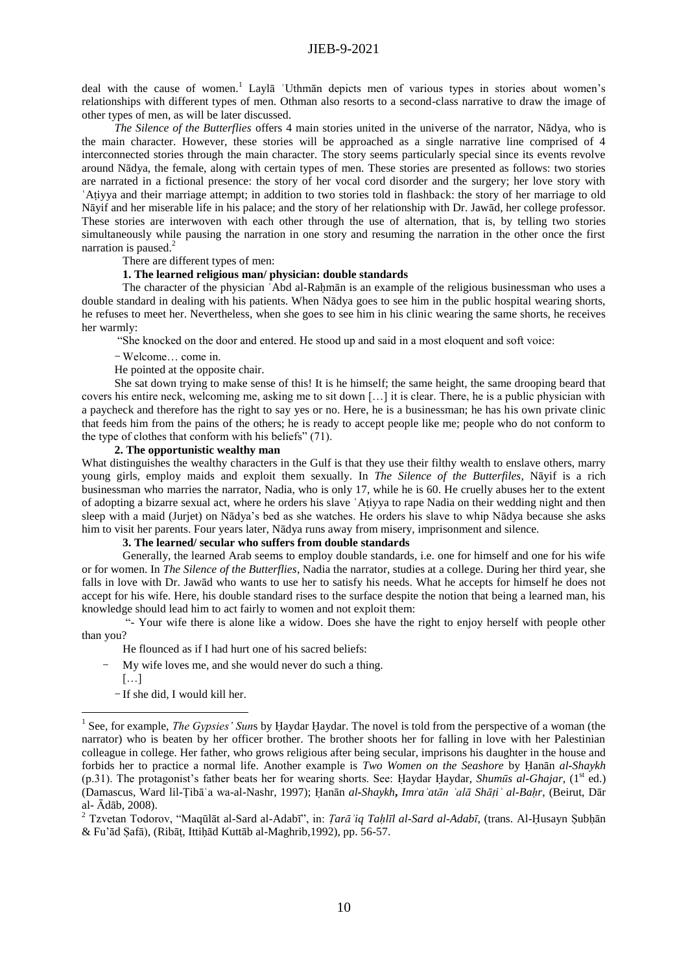deal with the cause of women.<sup>1</sup> Layla 'Uthman depicts men of various types in stories about women's relationships with different types of men. Othman also resorts to a second-class narrative to draw the image of other types of men, as will be later discussed.

*The Silence of the Butterflies* offers 4 main stories united in the universe of the narrator, Nādya, who is the main character. However, these stories will be approached as a single narrative line comprised of 4 interconnected stories through the main character. The story seems particularly special since its events revolve around Nādya, the female, along with certain types of men. These stories are presented as follows: two stories are narrated in a fictional presence: the story of her vocal cord disorder and the surgery; her love story with **ʿ**Aṭiyya and their marriage attempt; in addition to two stories told in flashback: the story of her marriage to old Nāyif and her miserable life in his palace; and the story of her relationship with Dr. Jawād, her college professor. These stories are interwoven with each other through the use of alternation, that is, by telling two stories simultaneously while pausing the narration in one story and resuming the narration in the other once the first narration is paused.<sup>2</sup>

#### There are different types of men:

#### **1. The learned religious man/ physician: double standards**

The character of the physician 'Abd al-Rahmān is an example of the religious businessman who uses a double standard in dealing with his patients. When Nādya goes to see him in the public hospital wearing shorts, he refuses to meet her. Nevertheless, when she goes to see him in his clinic wearing the same shorts, he receives her warmly:

"She knocked on the door and entered. He stood up and said in a most eloquent and soft voice:

- Welcome… come in.

He pointed at the opposite chair.

She sat down trying to make sense of this! It is he himself; the same height, the same drooping beard that covers his entire neck, welcoming me, asking me to sit down […] it is clear. There, he is a public physician with a paycheck and therefore has the right to say yes or no. Here, he is a businessman; he has his own private clinic that feeds him from the pains of the others; he is ready to accept people like me; people who do not conform to the type of clothes that conform with his beliefs" (71).

#### **2. The opportunistic wealthy man**

What distinguishes the wealthy characters in the Gulf is that they use their filthy wealth to enslave others, marry young girls, employ maids and exploit them sexually. In *The Silence of the Butterfiles*, Nāyif is a rich businessman who marries the narrator, Nadia, who is only 17, while he is 60. He cruelly abuses her to the extent of adopting a bizarre sexual act, where he orders his slave **ʿ**Aṭiyya to rape Nadia on their wedding night and then sleep with a maid (Jurjet) on Nādya's bed as she watches. He orders his slave to whip Nādya because she asks him to visit her parents. Four years later, Nādya runs away from misery, imprisonment and silence.

### **3. The learned/ secular who suffers from double standards**

Generally, the learned Arab seems to employ double standards, i.e. one for himself and one for his wife or for women. In *The Silence of the Butterflies*, Nadia the narrator, studies at a college. During her third year, she falls in love with Dr. Jawād who wants to use her to satisfy his needs. What he accepts for himself he does not accept for his wife. Here, his double standard rises to the surface despite the notion that being a learned man, his knowledge should lead him to act fairly to women and not exploit them:

"- Your wife there is alone like a widow. Does she have the right to enjoy herself with people other than you?

- He flounced as if I had hurt one of his sacred beliefs:
- My wife loves me, and she would never do such a thing.
- $[\ldots]$

<u>.</u>

- If she did, I would kill her.

<sup>2</sup> Tzvetan Todorov, "Maqūlāt al-Sard al-Adabī", in: *Ṭarāʾiq Taḥlīl al-Sard al-Adabī*, (trans. Al-Ḥusayn Ṣubḥān & Fu'ād Ṣafā), (Ribāṭ, Ittiḥād Kuttāb al-Maghrib,1992), pp. 56-57.

<sup>&</sup>lt;sup>1</sup> See, for example, *The Gypsies' Suns* by Ḥaydar Ḥaydar. The novel is told from the perspective of a woman (the narrator) who is beaten by her officer brother. The brother shoots her for falling in love with her Palestinian colleague in college. Her father, who grows religious after being secular, imprisons his daughter in the house and forbids her to practice a normal life. Another example is *Two Women on the Seashore* by Ḥanān *al***-***Shaykh* (p.31). The protagonist's father beats her for wearing shorts. See: Haydar Haydar, *Shumūs al-Ghajar*, (1<sup>st</sup> ed.) (Damascus, Ward lil-Ṭibāʿa wa-al-Nashr, 1997); Ḥanān *al***-***Shaykh***,** *Imraʾatān ʿalā Shāṭiʾ al-Baḥr*, (Beirut, Dār al- Ādāb, 2008).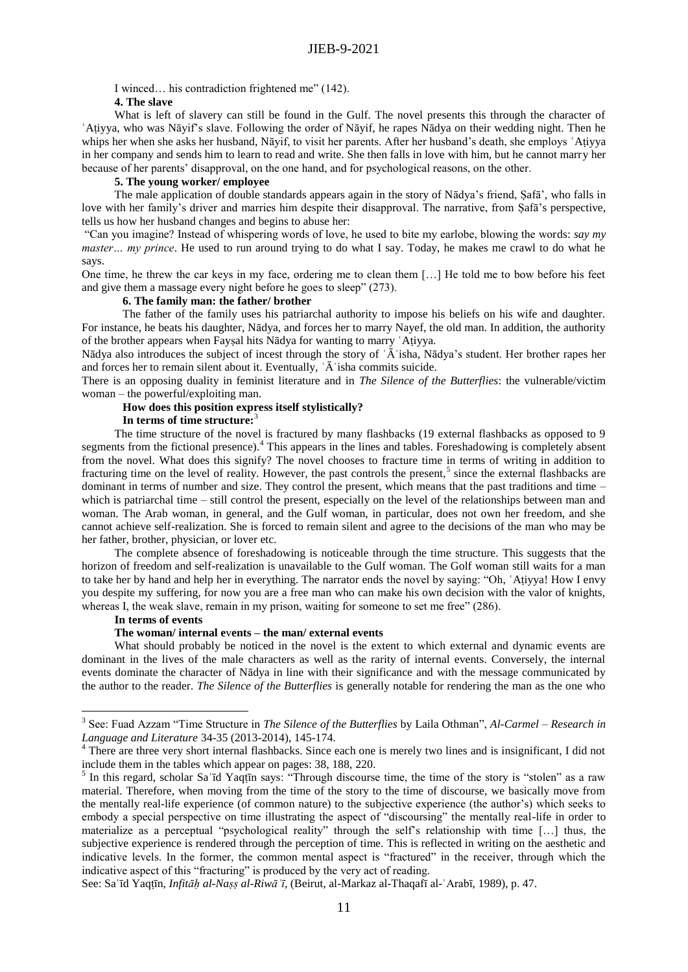I winced… his contradiction frightened me" (142).

# **4. The slave**

What is left of slavery can still be found in the Gulf. The novel presents this through the character of **ʿ**Aṭiyya, who was Nāyif's slave. Following the order of Nāyif, he rapes Nādya on their wedding night. Then he whips her when she asks her husband, Nāyif, to visit her parents. After her husband's death, she employs **ʿ**Aṭiyya in her company and sends him to learn to read and write. She then falls in love with him, but he cannot marry her because of her parents' disapproval, on the one hand, and for psychological reasons, on the other.

#### **5. The young worker/ employee**

The male application of double standards appears again in the story of Nādya's friend, Ṣafā', who falls in love with her family's driver and marries him despite their disapproval. The narrative, from Ṣafā's perspective, tells us how her husband changes and begins to abuse her:

"Can you imagine? Instead of whispering words of love, he used to bite my earlobe, blowing the words: *say my master… my prince*. He used to run around trying to do what I say. Today, he makes me crawl to do what he says.

One time, he threw the car keys in my face, ordering me to clean them […] He told me to bow before his feet and give them a massage every night before he goes to sleep" (273).

### **6. The family man: the father/ brother**

The father of the family uses his patriarchal authority to impose his beliefs on his wife and daughter. For instance, he beats his daughter, Nādya, and forces her to marry Nayef, the old man. In addition, the authority of the brother appears when Fayṣal hits Nādya for wanting to marry **ʿ**Aṭiyya.

Nādya also introduces the subject of incest through the story of ʿĀʾisha, Nādya's student. Her brother rapes her and forces her to remain silent about it. Eventually, ʿĀʾisha commits suicide.

There is an opposing duality in feminist literature and in *The Silence of the Butterflies*: the vulnerable/victim woman – the powerful/exploiting man.

# **How does this position express itself stylistically?**

#### **In terms of time structure:**<sup>3</sup>

The time structure of the novel is fractured by many flashbacks (19 external flashbacks as opposed to 9 segments from the fictional presence).<sup>4</sup> This appears in the lines and tables. Foreshadowing is completely absent from the novel. What does this signify? The novel chooses to fracture time in terms of writing in addition to fracturing time on the level of reality. However, the past controls the present,<sup>5</sup> since the external flashbacks are dominant in terms of number and size. They control the present, which means that the past traditions and time – which is patriarchal time – still control the present, especially on the level of the relationships between man and woman. The Arab woman, in general, and the Gulf woman, in particular, does not own her freedom, and she cannot achieve self-realization. She is forced to remain silent and agree to the decisions of the man who may be her father, brother, physician, or lover etc.

The complete absence of foreshadowing is noticeable through the time structure. This suggests that the horizon of freedom and self-realization is unavailable to the Gulf woman. The Golf woman still waits for a man to take her by hand and help her in everything. The narrator ends the novel by saying: "Oh, **ʿ**Aṭiyya! How I envy you despite my suffering, for now you are a free man who can make his own decision with the valor of knights, whereas I, the weak slave, remain in my prison, waiting for someone to set me free" (286).

#### **In terms of events**

1

#### **The woman/ internal e**v**ents – the man/ external events**

What should probably be noticed in the novel is the extent to which external and dynamic events are dominant in the lives of the male characters as well as the rarity of internal events. Conversely, the internal events dominate the character of Nādya in line with their significance and with the message communicated by the author to the reader. *The Silence of the Butterflies* is generally notable for rendering the man as the one who

See: Sa**ʿ**īd Yaqṭīn, *Infitāḥ al-Naṣṣ al-Riwāʾī*, (Beirut, al-Markaz al-Thaqafī al-ʿArabī, 1989), p. 47.

<sup>3</sup> See: Fuad Azzam "Time Structure in *The Silence of the Butterflies* by Laila Othman", *Al-Carmel – Research in Language and Literature* 34-35 (2013-2014), 145-174.

<sup>&</sup>lt;sup>4</sup> There are three very short internal flashbacks. Since each one is merely two lines and is insignificant, I did not include them in the tables which appear on pages: 38, 188, 220.

<sup>5</sup> In this regard, scholar Sa**ʿ**īd Yaqṭīn says: "Through discourse time, the time of the story is "stolen" as a raw material. Therefore, when moving from the time of the story to the time of discourse, we basically move from the mentally real-life experience (of common nature) to the subjective experience (the author's) which seeks to embody a special perspective on time illustrating the aspect of "discoursing" the mentally real-life in order to materialize as a perceptual "psychological reality" through the self's relationship with time […] thus, the subjective experience is rendered through the perception of time. This is reflected in writing on the aesthetic and indicative levels. In the former, the common mental aspect is "fractured" in the receiver, through which the indicative aspect of this "fracturing" is produced by the very act of reading.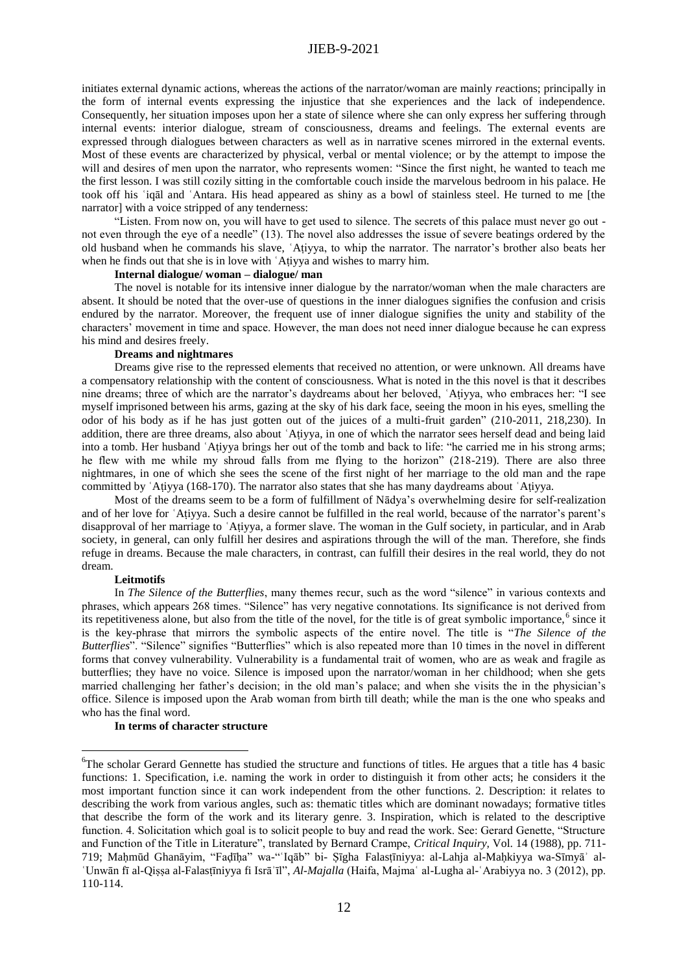# JIEB-9-2021

initiates external dynamic actions, whereas the actions of the narrator/woman are mainly *re*actions; principally in the form of internal events expressing the injustice that she experiences and the lack of independence. Consequently, her situation imposes upon her a state of silence where she can only express her suffering through internal events: interior dialogue, stream of consciousness, dreams and feelings. The external events are expressed through dialogues between characters as well as in narrative scenes mirrored in the external events. Most of these events are characterized by physical, verbal or mental violence; or by the attempt to impose the will and desires of men upon the narrator, who represents women: "Since the first night, he wanted to teach me the first lesson. I was still cozily sitting in the comfortable couch inside the marvelous bedroom in his palace. He took off his ʿiqāl and ʿAntara. His head appeared as shiny as a bowl of stainless steel. He turned to me [the narrator] with a voice stripped of any tenderness:

"Listen. From now on, you will have to get used to silence. The secrets of this palace must never go out not even through the eye of a needle" (13). The novel also addresses the issue of severe beatings ordered by the old husband when he commands his slave, ʿAṭiyya, to whip the narrator. The narrator's brother also beats her when he finds out that she is in love with 'Atiyya and wishes to marry him.

#### **Internal dialogue/ woman – dialogue/ man**

The novel is notable for its intensive inner dialogue by the narrator/woman when the male characters are absent. It should be noted that the over-use of questions in the inner dialogues signifies the confusion and crisis endured by the narrator. Moreover, the frequent use of inner dialogue signifies the unity and stability of the characters' movement in time and space. However, the man does not need inner dialogue because he can express his mind and desires freely.

#### **Dreams and nightmares**

Dreams give rise to the repressed elements that received no attention, or were unknown. All dreams have a compensatory relationship with the content of consciousness. What is noted in the this novel is that it describes nine dreams; three of which are the narrator's daydreams about her beloved, ʿAṭiyya, who embraces her: "I see myself imprisoned between his arms, gazing at the sky of his dark face, seeing the moon in his eyes, smelling the odor of his body as if he has just gotten out of the juices of a multi-fruit garden" (210-2011, 218,230). In addition, there are three dreams, also about ʿAṭiyya, in one of which the narrator sees herself dead and being laid into a tomb. Her husband ʿAṭiyya brings her out of the tomb and back to life: "he carried me in his strong arms; he flew with me while my shroud falls from me flying to the horizon" (218-219). There are also three nightmares, in one of which she sees the scene of the first night of her marriage to the old man and the rape committed by ʿAṭiyya (168-170). The narrator also states that she has many daydreams about ʿAṭiyya.

Most of the dreams seem to be a form of fulfillment of Nādya's overwhelming desire for self-realization and of her love for ʿAṭiyya. Such a desire cannot be fulfilled in the real world, because of the narrator's parent's disapproval of her marriage to ʿAṭiyya, a former slave. The woman in the Gulf society, in particular, and in Arab society, in general, can only fulfill her desires and aspirations through the will of the man. Therefore, she finds refuge in dreams. Because the male characters, in contrast, can fulfill their desires in the real world, they do not dream.

#### **Leitmotifs**

1

In *The Silence of the Butterflies*, many themes recur, such as the word "silence" in various contexts and phrases, which appears 268 times. "Silence" has very negative connotations. Its significance is not derived from its repetitiveness alone, but also from the title of the novel, for the title is of great symbolic importance, $<sup>6</sup>$  since it</sup> is the key-phrase that mirrors the symbolic aspects of the entire novel. The title is "*The Silence of the Butterflies*". "Silence" signifies "Butterflies" which is also repeated more than 10 times in the novel in different forms that convey vulnerability. Vulnerability is a fundamental trait of women, who are as weak and fragile as butterflies; they have no voice. Silence is imposed upon the narrator/woman in her childhood; when she gets married challenging her father's decision; in the old man's palace; and when she visits the in the physician's office. Silence is imposed upon the Arab woman from birth till death; while the man is the one who speaks and who has the final word.

### **In terms of character structure**

<sup>&</sup>lt;sup>6</sup>The scholar Gerard Gennette has studied the structure and functions of titles. He argues that a title has 4 basic functions: 1. Specification, i.e. naming the work in order to distinguish it from other acts; he considers it the most important function since it can work independent from the other functions. 2. Description: it relates to describing the work from various angles, such as: thematic titles which are dominant nowadays; formative titles that describe the form of the work and its literary genre. 3. Inspiration, which is related to the descriptive function. 4. Solicitation which goal is to solicit people to buy and read the work. See: Gerard Genette, "Structure and Function of the Title in Literature", translated by Bernard Crampe, *Critical Inquiry,* Vol. 14 (1988), pp. 711- 719; Maḥmūd Ghanāyim, "Faḍīḥa" wa-"ʿIqāb" bi- Ṣīgha Falasṭīniyya: al-Lahja al-Maḥkiyya wa-Sīmyāʾ al-ʿUnwān fī al-Qiṣṣa al-Falasṭīniyya fi Isrāʾīl", *Al-Majalla* (Haifa, Majmaʿ al-Lugha al-ʿArabiyya no. 3 (2012), pp. 110-114.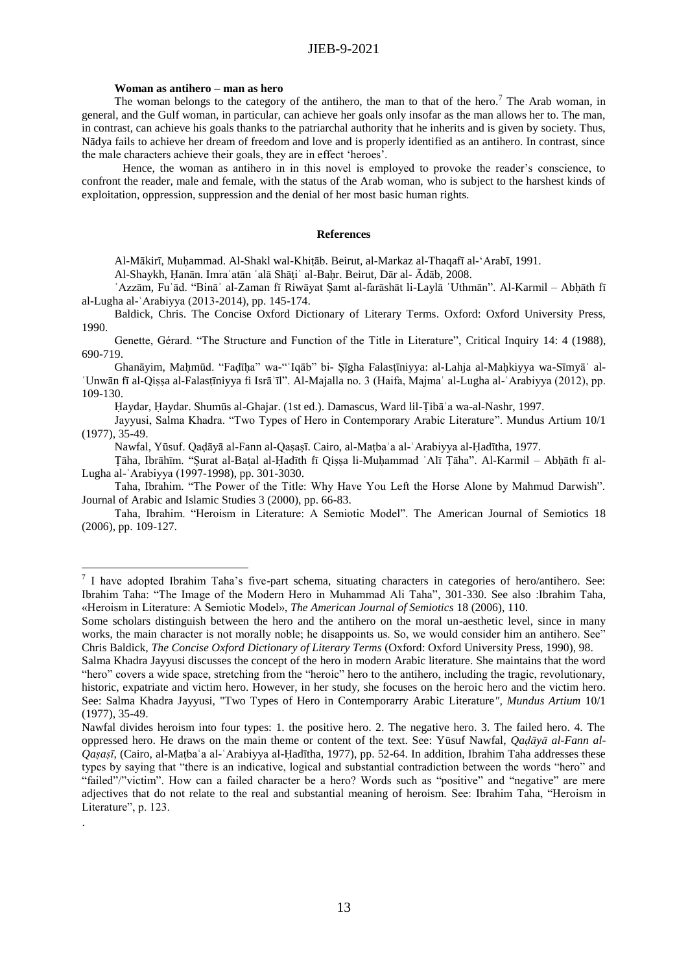## **Woman as antihero – man as hero**

1

.

The woman belongs to the category of the antihero, the man to that of the hero.<sup>7</sup> The Arab woman, in general, and the Gulf woman, in particular, can achieve her goals only insofar as the man allows her to. The man, in contrast, can achieve his goals thanks to the patriarchal authority that he inherits and is given by society. Thus, Nādya fails to achieve her dream of freedom and love and is properly identified as an antihero. In contrast, since the male characters achieve their goals, they are in effect 'heroes'.

Hence, the woman as antihero in in this novel is employed to provoke the reader's conscience, to confront the reader, male and female, with the status of the Arab woman, who is subject to the harshest kinds of exploitation, oppression, suppression and the denial of her most basic human rights.

#### **References**

Al-Mākirī, Muḥammad. Al-Shakl wal-Khiṭāb. Beirut, al-Markaz al-Thaqafī al-'Arabī, 1991.

Al-Shaykh, Ḥanān. Imraʾatān ʿalā Shāṭiʾ al-Baḥr. Beirut, Dār al- Ādāb, 2008.

'Azzām, Fu'ād. "Binā' al-Zaman fī Riwāyat Samt al-farāshāt li-Laylā 'Uthmān''. Al-Karmil – Abhāth fī al-Lugha al-ʿArabiyya (2013-2014), pp. 145-174.

Baldick, Chris. The Concise Oxford Dictionary of Literary Terms. Oxford: Oxford University Press, 1990.

Genette, Gérard. "The Structure and Function of the Title in Literature", Critical Inquiry 14: 4 (1988), 690-719.

Ghanāyim, Maḥmūd. "Faḍīḥa" wa-"ʿIqāb" bi- Ṣīgha Falasṭīniyya: al-Lahja al-Maḥkiyya wa-Sīmyāʾ al-ʿUnwān fī al-Qiṣṣa al-Falasṭīniyya fi Isrāʾīl". Al-Majalla no. 3 (Haifa, Majmaʿ al-Lugha al-ʿArabiyya (2012), pp. 109-130.

Ḥaydar, Ḥaydar. Shumūs al-Ghajar. (1st ed.). Damascus, Ward lil-Ṭibāʿa wa-al-Nashr, 1997.

Jayyusi, Salma Khadra. "Two Types of Hero in Contemporary Arabic Literature". Mundus Artium 10/1 (1977), 35-49.

Nawfal, Yūsuf. Qaḍāyā al-Fann al-Qaṣaṣī. Cairo, al-Maṭbaʿa al-ʿArabiyya al-Ḥadītha, 1977.

Ṭāha, Ibrāhīm. "Ṣurat al-Baṭal al-Ḥadīth fī Qiṣṣa li-Muḥammad ʿAlī Ṭāha". Al-Karmil – Abḥāth fī al-Lugha al-ʿArabiyya (1997-1998), pp. 301-3030.

Taha, Ibrahim. "The Power of the Title: Why Have You Left the Horse Alone by Mahmud Darwish". Journal of Arabic and Islamic Studies 3 (2000), pp. 66-83.

Taha, Ibrahim. "Heroism in Literature: A Semiotic Model". The American Journal of Semiotics 18 (2006), pp. 109-127.

 $7$  I have adopted Ibrahim Taha's five-part schema, situating characters in categories of hero/antihero. See: Ibrahim Taha: "The Image of the Modern Hero in Muhammad Ali Taha", 301-330. See also :Ibrahim Taha, «Heroism in Literature: A Semiotic Model», *The American Journal of Semiotics* 18 (2006), 110.

Some scholars distinguish between the hero and the antihero on the moral un-aesthetic level, since in many works, the main character is not morally noble; he disappoints us. So, we would consider him an antihero. See" Chris Baldick, *The Concise Oxford Dictionary of Literary Terms* (Oxford: Oxford University Press, 1990), 98.

Salma Khadra Jayyusi discusses the concept of the hero in modern Arabic literature. She maintains that the word "hero" covers a wide space, stretching from the "heroic" hero to the antihero, including the tragic, revolutionary, historic, expatriate and victim hero. However, in her study, she focuses on the heroic hero and the victim hero. See: Salma Khadra Jayyusi, "Two Types of Hero in Contemporarry Arabic Literature*", Mundus Artium* 10/1 (1977), 35-49.

Nawfal divides heroism into four types: 1. the positive hero. 2. The negative hero. 3. The failed hero. 4. The oppressed hero. He draws on the main theme or content of the text. See: Yūsuf Nawfal, *Qaḍāyā al-Fann al-Qaṣaṣī*, (Cairo, al-Maṭbaʿa al-ʿArabiyya al-Ḥadītha, 1977), pp. 52-64. In addition, Ibrahim Taha addresses these types by saying that "there is an indicative, logical and substantial contradiction between the words "hero" and "failed"/"victim". How can a failed character be a hero? Words such as "positive" and "negative" are mere adjectives that do not relate to the real and substantial meaning of heroism. See: Ibrahim Taha, "Heroism in Literature", p. 123.